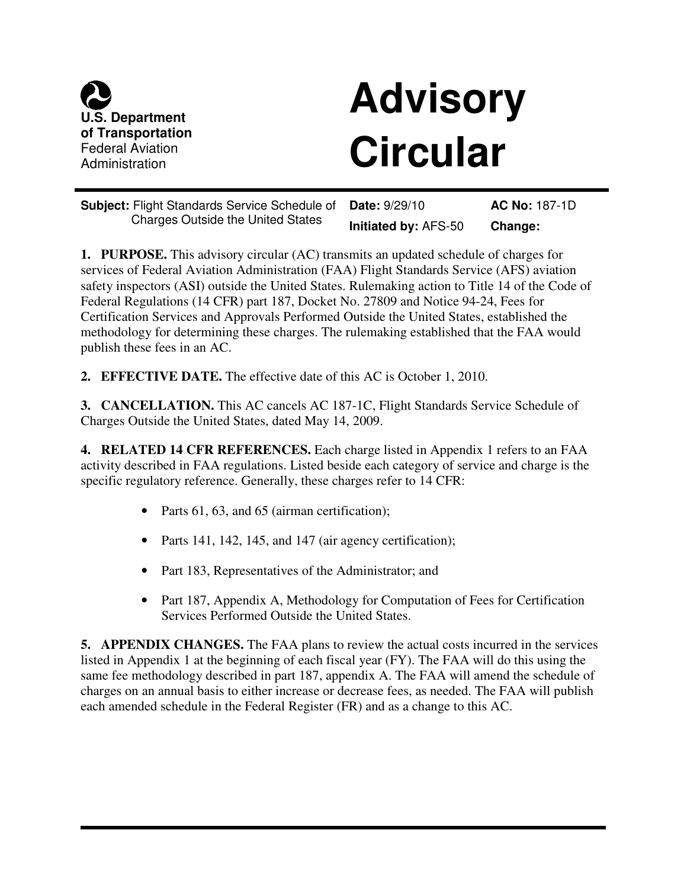

## **Advisory Circular**

| <b>Subject: Flight Standards Service Schedule of Date: 9/29/10</b> |                             | <b>AC No: 187-1D</b> |
|--------------------------------------------------------------------|-----------------------------|----------------------|
| <b>Charges Outside the United States</b>                           | <b>Initiated by: AFS-50</b> | <b>Change:</b>       |

**1. PURPOSE.** This advisory circular (AC) transmits an updated schedule of charges for services of Federal Aviation Administration (FAA) Flight Standards Service (AFS) aviation safety inspectors (ASI) outside the United States. Rulemaking action to Title 14 of the Code of Federal Regulations (14 CFR) part 187, Docket No. 27809 and Notice 94-24, Fees for Certification Services and Approvals Performed Outside the United States, established the methodology for determining these charges. The rulemaking established that the FAA would publish these fees in an AC.

**2. EFFECTIVE DATE.** The effective date of this AC is October 1, 2010.

**3. CANCELLATION.** This AC cancels AC 187-1C, Flight Standards Service Schedule of Charges Outside the United States, dated May 14, 2009.

**4. RELATED 14 CFR REFERENCES.** Each charge listed in Appendix 1 refers to an FAA activity described in FAA regulations. Listed beside each category of service and charge is the specific regulatory reference. Generally, these charges refer to 14 CFR:

- Parts 61, 63, and 65 (airman certification);
- Parts 141, 142, 145, and 147 (air agency certification);
- Part 183, Representatives of the Administrator; and
- Part 187, Appendix A, Methodology for Computation of Fees for Certification Services Performed Outside the United States.

**5. APPENDIX CHANGES.** The FAA plans to review the actual costs incurred in the services listed in Appendix 1 at the beginning of each fiscal year (FY). The FAA will do this using the same fee methodology described in part 187, appendix A. The FAA will amend the schedule of charges on an annual basis to either increase or decrease fees, as needed. The FAA will publish each amended schedule in the Federal Register (FR) and as a change to this AC.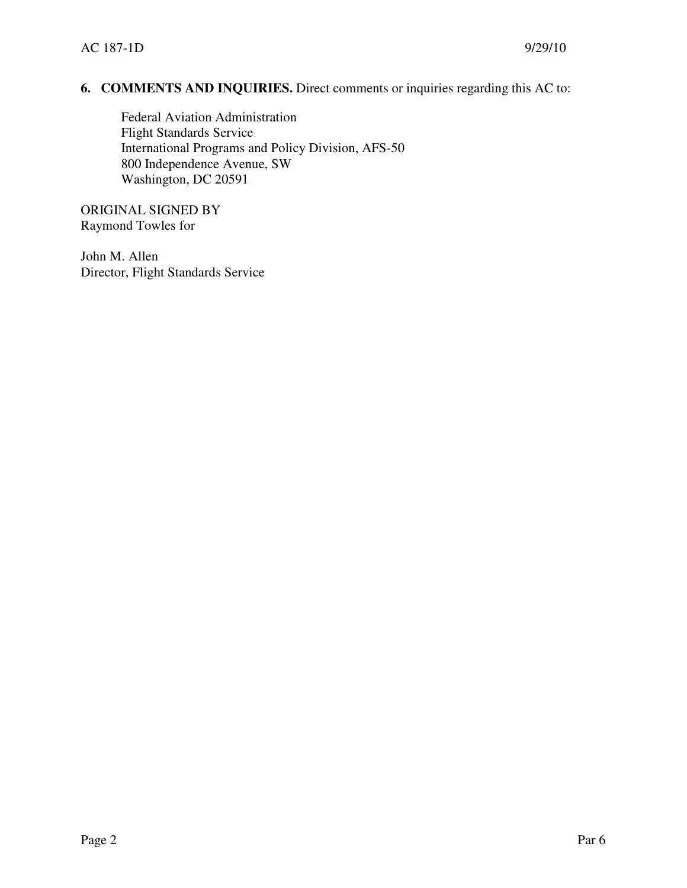## **6. COMMENTS AND INQUIRIES.** Direct comments or inquiries regarding this AC to:

Federal Aviation Administration Flight Standards Service International Programs and Policy Division, AFS-50 800 Independence Avenue, SW Washington, DC 20591

ORIGINAL SIGNED BY Raymond Towles for

John M. Allen Director, Flight Standards Service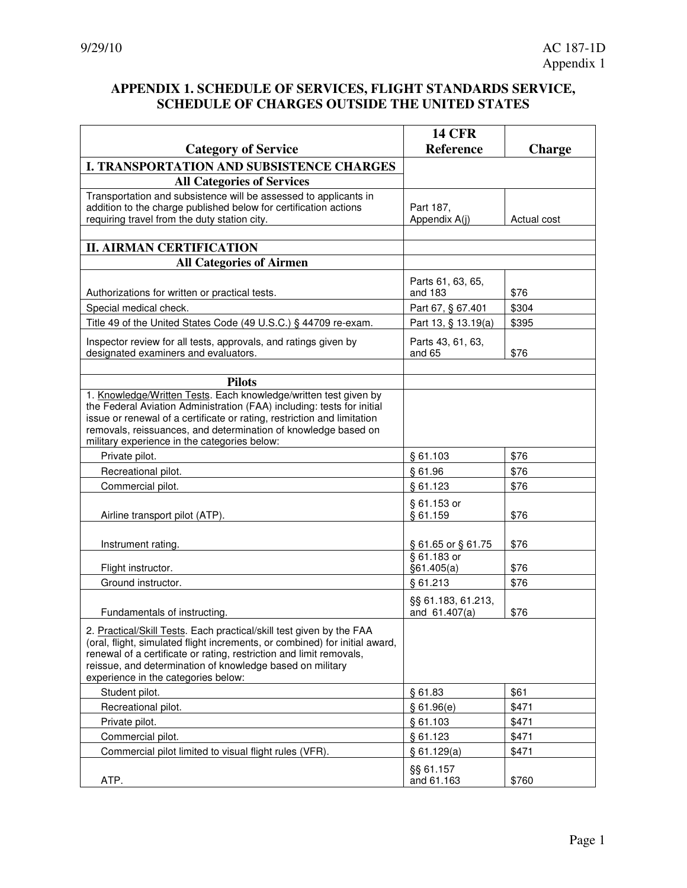## **APPENDIX 1. SCHEDULE OF SERVICES, FLIGHT STANDARDS SERVICE, SCHEDULE OF CHARGES OUTSIDE THE UNITED STATES**

| <b>Reference</b><br><b>Category of Service</b><br><b>Charge</b><br><b>I. TRANSPORTATION AND SUBSISTENCE CHARGES</b><br><b>All Categories of Services</b><br>Transportation and subsistence will be assessed to applicants in<br>addition to the charge published below for certification actions<br>Part 187,<br>requiring travel from the duty station city.<br>Appendix A(j)<br>Actual cost<br><b>II. AIRMAN CERTIFICATION</b><br><b>All Categories of Airmen</b><br>Parts 61, 63, 65,<br>Authorizations for written or practical tests.<br>\$76<br>and 183<br>\$304<br>Special medical check.<br>Part 67, § 67.401<br>Title 49 of the United States Code (49 U.S.C.) § 44709 re-exam.<br>Part 13, § 13.19(a)<br>\$395<br>Parts 43, 61, 63,<br>Inspector review for all tests, approvals, and ratings given by<br>designated examiners and evaluators.<br>and 65<br>\$76<br><b>Pilots</b><br>1. Knowledge/Written Tests. Each knowledge/written test given by<br>the Federal Aviation Administration (FAA) including: tests for initial<br>issue or renewal of a certificate or rating, restriction and limitation<br>removals, reissuances, and determination of knowledge based on<br>military experience in the categories below:<br>Private pilot.<br>\$76<br>§ 61.103<br>\$76<br>Recreational pilot.<br>§ 61.96<br>Commercial pilot.<br>§ 61.123<br>\$76<br>§ 61.153 or<br>Airline transport pilot (ATP).<br>§ 61.159<br>\$76<br>\$76<br>Instrument rating.<br>§ 61.65 or § 61.75<br>§ 61.183 or<br>§61.405(a)<br>\$76<br>Flight instructor.<br>\$76<br>§ 61.213<br>Ground instructor.<br>§§ 61.183, 61.213,<br>and 61.407(a)<br>\$76<br>Fundamentals of instructing.<br>2. Practical/Skill Tests. Each practical/skill test given by the FAA<br>(oral, flight, simulated flight increments, or combined) for initial award,<br>renewal of a certificate or rating, restriction and limit removals,<br>reissue, and determination of knowledge based on military<br>experience in the categories below:<br>Student pilot.<br>§61.83<br>\$61<br>Recreational pilot.<br>\$471<br>\$61.96(e)<br>\$471<br>Private pilot.<br>§ 61.103<br>§ 61.123<br>\$471<br>Commercial pilot.<br>Commercial pilot limited to visual flight rules (VFR).<br>\$471<br>§ 61.129(a)<br>§§ 61.157 | <b>14 CFR</b> |  |
|----------------------------------------------------------------------------------------------------------------------------------------------------------------------------------------------------------------------------------------------------------------------------------------------------------------------------------------------------------------------------------------------------------------------------------------------------------------------------------------------------------------------------------------------------------------------------------------------------------------------------------------------------------------------------------------------------------------------------------------------------------------------------------------------------------------------------------------------------------------------------------------------------------------------------------------------------------------------------------------------------------------------------------------------------------------------------------------------------------------------------------------------------------------------------------------------------------------------------------------------------------------------------------------------------------------------------------------------------------------------------------------------------------------------------------------------------------------------------------------------------------------------------------------------------------------------------------------------------------------------------------------------------------------------------------------------------------------------------------------------------------------------------------------------------------------------------------------------------------------------------------------------------------------------------------------------------------------------------------------------------------------------------------------------------------------------------------------------------------------------------------------------------------------------------------------------------------------------------------------------------------------------------------|---------------|--|
|                                                                                                                                                                                                                                                                                                                                                                                                                                                                                                                                                                                                                                                                                                                                                                                                                                                                                                                                                                                                                                                                                                                                                                                                                                                                                                                                                                                                                                                                                                                                                                                                                                                                                                                                                                                                                                                                                                                                                                                                                                                                                                                                                                                                                                                                                  |               |  |
|                                                                                                                                                                                                                                                                                                                                                                                                                                                                                                                                                                                                                                                                                                                                                                                                                                                                                                                                                                                                                                                                                                                                                                                                                                                                                                                                                                                                                                                                                                                                                                                                                                                                                                                                                                                                                                                                                                                                                                                                                                                                                                                                                                                                                                                                                  |               |  |
|                                                                                                                                                                                                                                                                                                                                                                                                                                                                                                                                                                                                                                                                                                                                                                                                                                                                                                                                                                                                                                                                                                                                                                                                                                                                                                                                                                                                                                                                                                                                                                                                                                                                                                                                                                                                                                                                                                                                                                                                                                                                                                                                                                                                                                                                                  |               |  |
|                                                                                                                                                                                                                                                                                                                                                                                                                                                                                                                                                                                                                                                                                                                                                                                                                                                                                                                                                                                                                                                                                                                                                                                                                                                                                                                                                                                                                                                                                                                                                                                                                                                                                                                                                                                                                                                                                                                                                                                                                                                                                                                                                                                                                                                                                  |               |  |
|                                                                                                                                                                                                                                                                                                                                                                                                                                                                                                                                                                                                                                                                                                                                                                                                                                                                                                                                                                                                                                                                                                                                                                                                                                                                                                                                                                                                                                                                                                                                                                                                                                                                                                                                                                                                                                                                                                                                                                                                                                                                                                                                                                                                                                                                                  |               |  |
|                                                                                                                                                                                                                                                                                                                                                                                                                                                                                                                                                                                                                                                                                                                                                                                                                                                                                                                                                                                                                                                                                                                                                                                                                                                                                                                                                                                                                                                                                                                                                                                                                                                                                                                                                                                                                                                                                                                                                                                                                                                                                                                                                                                                                                                                                  |               |  |
|                                                                                                                                                                                                                                                                                                                                                                                                                                                                                                                                                                                                                                                                                                                                                                                                                                                                                                                                                                                                                                                                                                                                                                                                                                                                                                                                                                                                                                                                                                                                                                                                                                                                                                                                                                                                                                                                                                                                                                                                                                                                                                                                                                                                                                                                                  |               |  |
|                                                                                                                                                                                                                                                                                                                                                                                                                                                                                                                                                                                                                                                                                                                                                                                                                                                                                                                                                                                                                                                                                                                                                                                                                                                                                                                                                                                                                                                                                                                                                                                                                                                                                                                                                                                                                                                                                                                                                                                                                                                                                                                                                                                                                                                                                  |               |  |
|                                                                                                                                                                                                                                                                                                                                                                                                                                                                                                                                                                                                                                                                                                                                                                                                                                                                                                                                                                                                                                                                                                                                                                                                                                                                                                                                                                                                                                                                                                                                                                                                                                                                                                                                                                                                                                                                                                                                                                                                                                                                                                                                                                                                                                                                                  |               |  |
|                                                                                                                                                                                                                                                                                                                                                                                                                                                                                                                                                                                                                                                                                                                                                                                                                                                                                                                                                                                                                                                                                                                                                                                                                                                                                                                                                                                                                                                                                                                                                                                                                                                                                                                                                                                                                                                                                                                                                                                                                                                                                                                                                                                                                                                                                  |               |  |
|                                                                                                                                                                                                                                                                                                                                                                                                                                                                                                                                                                                                                                                                                                                                                                                                                                                                                                                                                                                                                                                                                                                                                                                                                                                                                                                                                                                                                                                                                                                                                                                                                                                                                                                                                                                                                                                                                                                                                                                                                                                                                                                                                                                                                                                                                  |               |  |
|                                                                                                                                                                                                                                                                                                                                                                                                                                                                                                                                                                                                                                                                                                                                                                                                                                                                                                                                                                                                                                                                                                                                                                                                                                                                                                                                                                                                                                                                                                                                                                                                                                                                                                                                                                                                                                                                                                                                                                                                                                                                                                                                                                                                                                                                                  |               |  |
|                                                                                                                                                                                                                                                                                                                                                                                                                                                                                                                                                                                                                                                                                                                                                                                                                                                                                                                                                                                                                                                                                                                                                                                                                                                                                                                                                                                                                                                                                                                                                                                                                                                                                                                                                                                                                                                                                                                                                                                                                                                                                                                                                                                                                                                                                  |               |  |
|                                                                                                                                                                                                                                                                                                                                                                                                                                                                                                                                                                                                                                                                                                                                                                                                                                                                                                                                                                                                                                                                                                                                                                                                                                                                                                                                                                                                                                                                                                                                                                                                                                                                                                                                                                                                                                                                                                                                                                                                                                                                                                                                                                                                                                                                                  |               |  |
|                                                                                                                                                                                                                                                                                                                                                                                                                                                                                                                                                                                                                                                                                                                                                                                                                                                                                                                                                                                                                                                                                                                                                                                                                                                                                                                                                                                                                                                                                                                                                                                                                                                                                                                                                                                                                                                                                                                                                                                                                                                                                                                                                                                                                                                                                  |               |  |
|                                                                                                                                                                                                                                                                                                                                                                                                                                                                                                                                                                                                                                                                                                                                                                                                                                                                                                                                                                                                                                                                                                                                                                                                                                                                                                                                                                                                                                                                                                                                                                                                                                                                                                                                                                                                                                                                                                                                                                                                                                                                                                                                                                                                                                                                                  |               |  |
|                                                                                                                                                                                                                                                                                                                                                                                                                                                                                                                                                                                                                                                                                                                                                                                                                                                                                                                                                                                                                                                                                                                                                                                                                                                                                                                                                                                                                                                                                                                                                                                                                                                                                                                                                                                                                                                                                                                                                                                                                                                                                                                                                                                                                                                                                  |               |  |
|                                                                                                                                                                                                                                                                                                                                                                                                                                                                                                                                                                                                                                                                                                                                                                                                                                                                                                                                                                                                                                                                                                                                                                                                                                                                                                                                                                                                                                                                                                                                                                                                                                                                                                                                                                                                                                                                                                                                                                                                                                                                                                                                                                                                                                                                                  |               |  |
|                                                                                                                                                                                                                                                                                                                                                                                                                                                                                                                                                                                                                                                                                                                                                                                                                                                                                                                                                                                                                                                                                                                                                                                                                                                                                                                                                                                                                                                                                                                                                                                                                                                                                                                                                                                                                                                                                                                                                                                                                                                                                                                                                                                                                                                                                  |               |  |
|                                                                                                                                                                                                                                                                                                                                                                                                                                                                                                                                                                                                                                                                                                                                                                                                                                                                                                                                                                                                                                                                                                                                                                                                                                                                                                                                                                                                                                                                                                                                                                                                                                                                                                                                                                                                                                                                                                                                                                                                                                                                                                                                                                                                                                                                                  |               |  |
|                                                                                                                                                                                                                                                                                                                                                                                                                                                                                                                                                                                                                                                                                                                                                                                                                                                                                                                                                                                                                                                                                                                                                                                                                                                                                                                                                                                                                                                                                                                                                                                                                                                                                                                                                                                                                                                                                                                                                                                                                                                                                                                                                                                                                                                                                  |               |  |
|                                                                                                                                                                                                                                                                                                                                                                                                                                                                                                                                                                                                                                                                                                                                                                                                                                                                                                                                                                                                                                                                                                                                                                                                                                                                                                                                                                                                                                                                                                                                                                                                                                                                                                                                                                                                                                                                                                                                                                                                                                                                                                                                                                                                                                                                                  |               |  |
|                                                                                                                                                                                                                                                                                                                                                                                                                                                                                                                                                                                                                                                                                                                                                                                                                                                                                                                                                                                                                                                                                                                                                                                                                                                                                                                                                                                                                                                                                                                                                                                                                                                                                                                                                                                                                                                                                                                                                                                                                                                                                                                                                                                                                                                                                  |               |  |
|                                                                                                                                                                                                                                                                                                                                                                                                                                                                                                                                                                                                                                                                                                                                                                                                                                                                                                                                                                                                                                                                                                                                                                                                                                                                                                                                                                                                                                                                                                                                                                                                                                                                                                                                                                                                                                                                                                                                                                                                                                                                                                                                                                                                                                                                                  |               |  |
|                                                                                                                                                                                                                                                                                                                                                                                                                                                                                                                                                                                                                                                                                                                                                                                                                                                                                                                                                                                                                                                                                                                                                                                                                                                                                                                                                                                                                                                                                                                                                                                                                                                                                                                                                                                                                                                                                                                                                                                                                                                                                                                                                                                                                                                                                  |               |  |
|                                                                                                                                                                                                                                                                                                                                                                                                                                                                                                                                                                                                                                                                                                                                                                                                                                                                                                                                                                                                                                                                                                                                                                                                                                                                                                                                                                                                                                                                                                                                                                                                                                                                                                                                                                                                                                                                                                                                                                                                                                                                                                                                                                                                                                                                                  |               |  |
|                                                                                                                                                                                                                                                                                                                                                                                                                                                                                                                                                                                                                                                                                                                                                                                                                                                                                                                                                                                                                                                                                                                                                                                                                                                                                                                                                                                                                                                                                                                                                                                                                                                                                                                                                                                                                                                                                                                                                                                                                                                                                                                                                                                                                                                                                  |               |  |
|                                                                                                                                                                                                                                                                                                                                                                                                                                                                                                                                                                                                                                                                                                                                                                                                                                                                                                                                                                                                                                                                                                                                                                                                                                                                                                                                                                                                                                                                                                                                                                                                                                                                                                                                                                                                                                                                                                                                                                                                                                                                                                                                                                                                                                                                                  |               |  |
|                                                                                                                                                                                                                                                                                                                                                                                                                                                                                                                                                                                                                                                                                                                                                                                                                                                                                                                                                                                                                                                                                                                                                                                                                                                                                                                                                                                                                                                                                                                                                                                                                                                                                                                                                                                                                                                                                                                                                                                                                                                                                                                                                                                                                                                                                  |               |  |
|                                                                                                                                                                                                                                                                                                                                                                                                                                                                                                                                                                                                                                                                                                                                                                                                                                                                                                                                                                                                                                                                                                                                                                                                                                                                                                                                                                                                                                                                                                                                                                                                                                                                                                                                                                                                                                                                                                                                                                                                                                                                                                                                                                                                                                                                                  |               |  |
|                                                                                                                                                                                                                                                                                                                                                                                                                                                                                                                                                                                                                                                                                                                                                                                                                                                                                                                                                                                                                                                                                                                                                                                                                                                                                                                                                                                                                                                                                                                                                                                                                                                                                                                                                                                                                                                                                                                                                                                                                                                                                                                                                                                                                                                                                  |               |  |
|                                                                                                                                                                                                                                                                                                                                                                                                                                                                                                                                                                                                                                                                                                                                                                                                                                                                                                                                                                                                                                                                                                                                                                                                                                                                                                                                                                                                                                                                                                                                                                                                                                                                                                                                                                                                                                                                                                                                                                                                                                                                                                                                                                                                                                                                                  |               |  |
|                                                                                                                                                                                                                                                                                                                                                                                                                                                                                                                                                                                                                                                                                                                                                                                                                                                                                                                                                                                                                                                                                                                                                                                                                                                                                                                                                                                                                                                                                                                                                                                                                                                                                                                                                                                                                                                                                                                                                                                                                                                                                                                                                                                                                                                                                  |               |  |
|                                                                                                                                                                                                                                                                                                                                                                                                                                                                                                                                                                                                                                                                                                                                                                                                                                                                                                                                                                                                                                                                                                                                                                                                                                                                                                                                                                                                                                                                                                                                                                                                                                                                                                                                                                                                                                                                                                                                                                                                                                                                                                                                                                                                                                                                                  |               |  |
|                                                                                                                                                                                                                                                                                                                                                                                                                                                                                                                                                                                                                                                                                                                                                                                                                                                                                                                                                                                                                                                                                                                                                                                                                                                                                                                                                                                                                                                                                                                                                                                                                                                                                                                                                                                                                                                                                                                                                                                                                                                                                                                                                                                                                                                                                  |               |  |
|                                                                                                                                                                                                                                                                                                                                                                                                                                                                                                                                                                                                                                                                                                                                                                                                                                                                                                                                                                                                                                                                                                                                                                                                                                                                                                                                                                                                                                                                                                                                                                                                                                                                                                                                                                                                                                                                                                                                                                                                                                                                                                                                                                                                                                                                                  |               |  |
|                                                                                                                                                                                                                                                                                                                                                                                                                                                                                                                                                                                                                                                                                                                                                                                                                                                                                                                                                                                                                                                                                                                                                                                                                                                                                                                                                                                                                                                                                                                                                                                                                                                                                                                                                                                                                                                                                                                                                                                                                                                                                                                                                                                                                                                                                  |               |  |
|                                                                                                                                                                                                                                                                                                                                                                                                                                                                                                                                                                                                                                                                                                                                                                                                                                                                                                                                                                                                                                                                                                                                                                                                                                                                                                                                                                                                                                                                                                                                                                                                                                                                                                                                                                                                                                                                                                                                                                                                                                                                                                                                                                                                                                                                                  |               |  |
|                                                                                                                                                                                                                                                                                                                                                                                                                                                                                                                                                                                                                                                                                                                                                                                                                                                                                                                                                                                                                                                                                                                                                                                                                                                                                                                                                                                                                                                                                                                                                                                                                                                                                                                                                                                                                                                                                                                                                                                                                                                                                                                                                                                                                                                                                  |               |  |
|                                                                                                                                                                                                                                                                                                                                                                                                                                                                                                                                                                                                                                                                                                                                                                                                                                                                                                                                                                                                                                                                                                                                                                                                                                                                                                                                                                                                                                                                                                                                                                                                                                                                                                                                                                                                                                                                                                                                                                                                                                                                                                                                                                                                                                                                                  |               |  |
| ATP.<br>\$760<br>and 61.163                                                                                                                                                                                                                                                                                                                                                                                                                                                                                                                                                                                                                                                                                                                                                                                                                                                                                                                                                                                                                                                                                                                                                                                                                                                                                                                                                                                                                                                                                                                                                                                                                                                                                                                                                                                                                                                                                                                                                                                                                                                                                                                                                                                                                                                      |               |  |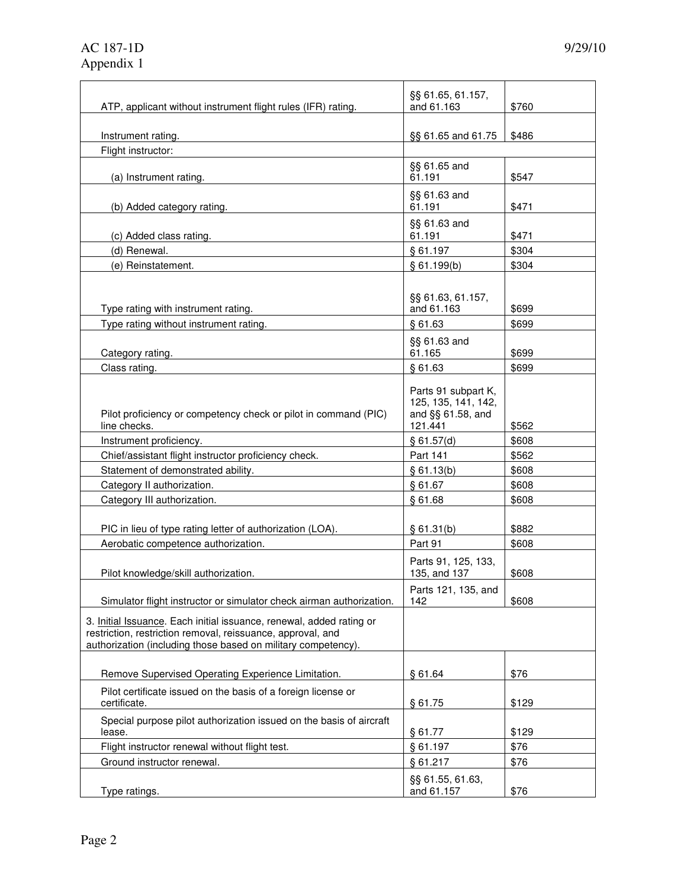| ATP, applicant without instrument flight rules (IFR) rating.                                                                                                                                         | §§ 61.65, 61.157,<br>and 61.163                                            | \$760 |
|------------------------------------------------------------------------------------------------------------------------------------------------------------------------------------------------------|----------------------------------------------------------------------------|-------|
|                                                                                                                                                                                                      |                                                                            |       |
| Instrument rating.                                                                                                                                                                                   | §§ 61.65 and 61.75                                                         | \$486 |
| Flight instructor:                                                                                                                                                                                   |                                                                            |       |
|                                                                                                                                                                                                      | §§ 61.65 and                                                               |       |
| (a) Instrument rating.                                                                                                                                                                               | 61.191                                                                     | \$547 |
|                                                                                                                                                                                                      | §§ 61.63 and<br>61.191                                                     | \$471 |
| (b) Added category rating.                                                                                                                                                                           |                                                                            |       |
| (c) Added class rating.                                                                                                                                                                              | §§ 61.63 and<br>61.191                                                     | \$471 |
| (d) Renewal.                                                                                                                                                                                         | § 61.197                                                                   | \$304 |
| (e) Reinstatement.                                                                                                                                                                                   | \$61.199(b)                                                                | \$304 |
|                                                                                                                                                                                                      |                                                                            |       |
| Type rating with instrument rating.                                                                                                                                                                  | §§ 61.63, 61.157,<br>and 61.163                                            | \$699 |
| Type rating without instrument rating.                                                                                                                                                               | §61.63                                                                     | \$699 |
| Category rating. <b>Category</b> rating.                                                                                                                                                             | §§ 61.63 and<br>61.165                                                     | \$699 |
| Class rating.                                                                                                                                                                                        | §61.63                                                                     | \$699 |
|                                                                                                                                                                                                      |                                                                            |       |
| Pilot proficiency or competency check or pilot in command (PIC)<br>line checks.                                                                                                                      | Parts 91 subpart K,<br>125, 135, 141, 142,<br>and §§ 61.58, and<br>121.441 | \$562 |
| Instrument proficiency.                                                                                                                                                                              | \$61.57(d)                                                                 | \$608 |
| Chief/assistant flight instructor proficiency check.                                                                                                                                                 | Part 141                                                                   | \$562 |
| Statement of demonstrated ability.                                                                                                                                                                   | § 61.13(b)                                                                 | \$608 |
| Category II authorization.                                                                                                                                                                           | § 61.67                                                                    | \$608 |
| Category III authorization.                                                                                                                                                                          | § 61.68                                                                    | \$608 |
| PIC in lieu of type rating letter of authorization (LOA).                                                                                                                                            | \$61.31(b)                                                                 | \$882 |
| Aerobatic competence authorization.                                                                                                                                                                  | Part 91                                                                    | \$608 |
| Pilot knowledge/skill authorization.                                                                                                                                                                 | Parts 91, 125, 133,<br>135, and 137                                        | \$608 |
| Simulator flight instructor or simulator check airman authorization.                                                                                                                                 | Parts 121, 135, and<br>142                                                 | \$608 |
| 3. Initial Issuance. Each initial issuance, renewal, added rating or<br>restriction, restriction removal, reissuance, approval, and<br>authorization (including those based on military competency). |                                                                            |       |
| Remove Supervised Operating Experience Limitation.                                                                                                                                                   | §61.64                                                                     | \$76  |
| Pilot certificate issued on the basis of a foreign license or<br>certificate.                                                                                                                        | § 61.75                                                                    | \$129 |
| Special purpose pilot authorization issued on the basis of aircraft                                                                                                                                  |                                                                            |       |
| lease.                                                                                                                                                                                               | § 61.77                                                                    | \$129 |
| Flight instructor renewal without flight test.                                                                                                                                                       | § 61.197                                                                   | \$76  |
| Ground instructor renewal.                                                                                                                                                                           | § 61.217                                                                   | \$76  |
| Type ratings.                                                                                                                                                                                        | §§ 61.55, 61.63,<br>and 61.157                                             | \$76  |
|                                                                                                                                                                                                      |                                                                            |       |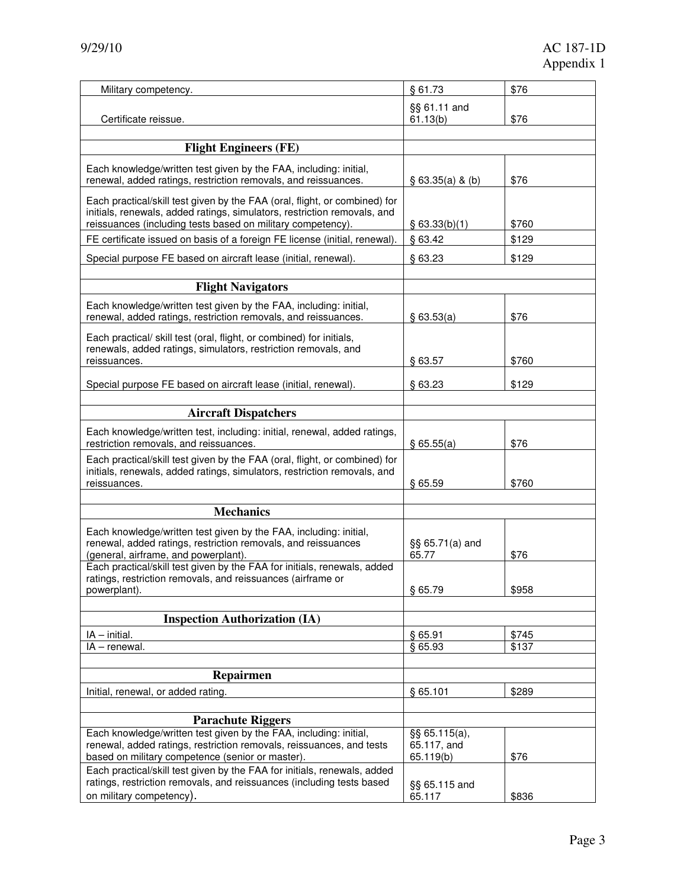| Military competency.                                                                                                                                   | § 61.73                          | \$76  |
|--------------------------------------------------------------------------------------------------------------------------------------------------------|----------------------------------|-------|
|                                                                                                                                                        | §§ 61.11 and                     |       |
| Certificate reissue.                                                                                                                                   | 61.13(b)                         | \$76  |
|                                                                                                                                                        |                                  |       |
| <b>Flight Engineers (FE)</b>                                                                                                                           |                                  |       |
| Each knowledge/written test given by the FAA, including: initial,                                                                                      |                                  |       |
| renewal, added ratings, restriction removals, and reissuances.                                                                                         | \$63.35(a) & (b)                 | \$76  |
|                                                                                                                                                        |                                  |       |
| Each practical/skill test given by the FAA (oral, flight, or combined) for<br>initials, renewals, added ratings, simulators, restriction removals, and |                                  |       |
| reissuances (including tests based on military competency).                                                                                            | $§$ 63.33(b)(1)                  | \$760 |
| FE certificate issued on basis of a foreign FE license (initial, renewal).                                                                             | § 63.42                          | \$129 |
|                                                                                                                                                        |                                  |       |
| Special purpose FE based on aircraft lease (initial, renewal).                                                                                         | §63.23                           | \$129 |
|                                                                                                                                                        |                                  |       |
| <b>Flight Navigators</b>                                                                                                                               |                                  |       |
| Each knowledge/written test given by the FAA, including: initial,<br>renewal, added ratings, restriction removals, and reissuances.                    | \$63.53(a)                       | \$76  |
| Each practical/ skill test (oral, flight, or combined) for initials,                                                                                   |                                  |       |
| renewals, added ratings, simulators, restriction removals, and                                                                                         |                                  |       |
| reissuances.                                                                                                                                           | $§$ 63.57                        | \$760 |
|                                                                                                                                                        |                                  |       |
| Special purpose FE based on aircraft lease (initial, renewal).                                                                                         | §63.23                           | \$129 |
|                                                                                                                                                        |                                  |       |
| <b>Aircraft Dispatchers</b>                                                                                                                            |                                  |       |
| Each knowledge/written test, including: initial, renewal, added ratings,<br>restriction removals, and reissuances.                                     | \$65.55(a)                       | \$76  |
| Each practical/skill test given by the FAA (oral, flight, or combined) for                                                                             |                                  |       |
| initials, renewals, added ratings, simulators, restriction removals, and                                                                               |                                  |       |
| reissuances.                                                                                                                                           | §65.59                           | \$760 |
|                                                                                                                                                        |                                  |       |
| <b>Mechanics</b>                                                                                                                                       |                                  |       |
| Each knowledge/written test given by the FAA, including: initial,                                                                                      |                                  |       |
| renewal, added ratings, restriction removals, and reissuances<br>(general, airframe, and powerplant).                                                  | §§ 65.71(a) and<br>65.77         | \$76  |
| Each practical/skill test given by the FAA for initials, renewals, added                                                                               |                                  |       |
| ratings, restriction removals, and reissuances (airframe or                                                                                            |                                  |       |
| powerplant).                                                                                                                                           | §65.79                           | \$958 |
|                                                                                                                                                        |                                  |       |
| <b>Inspection Authorization (IA)</b>                                                                                                                   |                                  |       |
| $IA$ – initial.                                                                                                                                        | §65.91                           | \$745 |
| IA - renewal.                                                                                                                                          | § 65.93                          | \$137 |
|                                                                                                                                                        |                                  |       |
| Repairmen                                                                                                                                              |                                  |       |
| Initial, renewal, or added rating.                                                                                                                     | § 65.101                         | \$289 |
|                                                                                                                                                        |                                  |       |
| <b>Parachute Riggers</b>                                                                                                                               |                                  |       |
| Each knowledge/written test given by the FAA, including: initial,<br>renewal, added ratings, restriction removals, reissuances, and tests              | $\S$ § 65.115(a),<br>65.117, and |       |
| based on military competence (senior or master).                                                                                                       | 65.119(b)                        | \$76  |
| Each practical/skill test given by the FAA for initials, renewals, added                                                                               |                                  |       |
| ratings, restriction removals, and reissuances (including tests based                                                                                  | §§ 65.115 and                    |       |
| on military competency).                                                                                                                               | 65.117                           | \$836 |